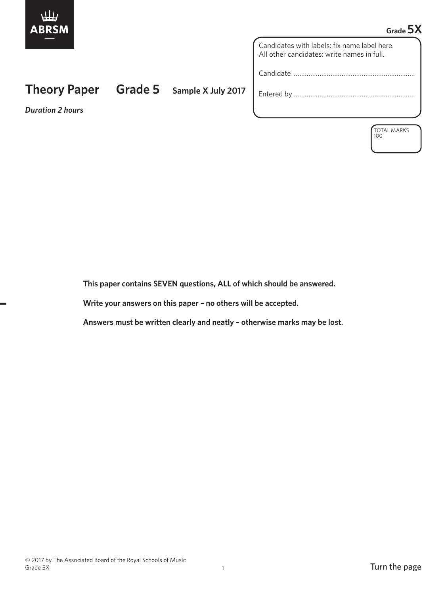

## **Grade 5X**

Candidates with labels: fix name label here. All other candidates: write names in full.

Candidate …………………………………………………………

Entered by …………………………………………………………

*Duration 2 hours*

**Theory Paper Grade 5 Sample X July 2017**

TOTAL MARKS 100

 **This paper contains SEVEN questions, ALL of which should be answered.**

 **Write your answers on this paper – no others will be accepted.**

 **Answers must be written clearly and neatly – otherwise marks may be lost.**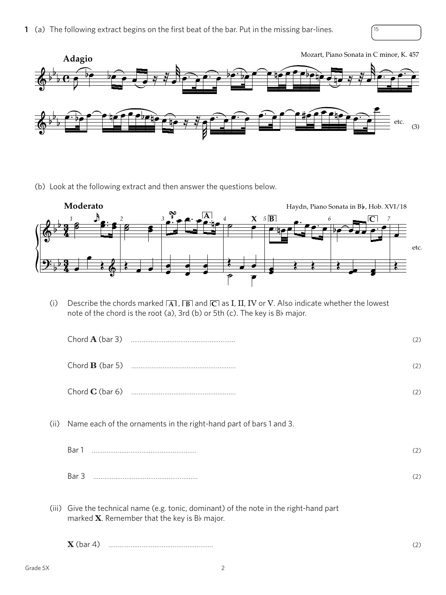

(b) Look at the following extract and then answer the questions below.



(i) Describe the chords marked  $\overline{A}$ ,  $\overline{B}$  and  $\overline{C}$  as I, II, IV or V. Also indicate whether the lowest note of the chord is the root (a), 3rd (b) or 5th (c). The key is Bb major.

|      |                                                                                                                                            | (2) |
|------|--------------------------------------------------------------------------------------------------------------------------------------------|-----|
|      |                                                                                                                                            | (2) |
|      |                                                                                                                                            | (2) |
| (ii) | Name each of the ornaments in the right-hand part of bars 1 and 3.                                                                         |     |
|      |                                                                                                                                            | (2) |
|      |                                                                                                                                            | (2) |
|      | (iii) Give the technical name (e.g. tonic, dominant) of the note in the right-hand part<br>marked $X$ . Remember that the key is Bb major. |     |
|      |                                                                                                                                            | (2) |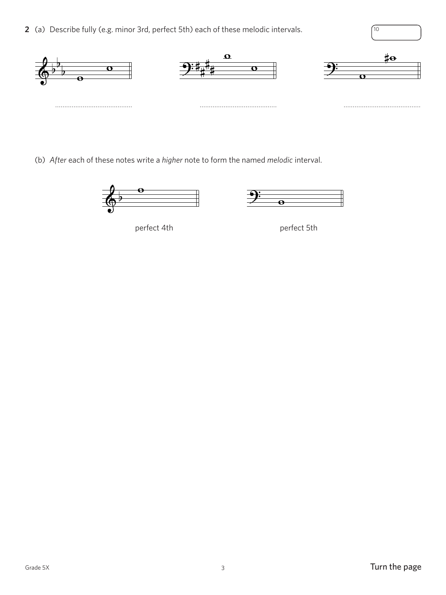**2** (a) Describe fully (e.g. minor 3rd, perfect 5th) each of these melodic intervals.  $\sqrt{10}$ 



(b) *After* each of these notes write a *higher* note to form the named *melodic* interval.



perfect 4th perfect 5th

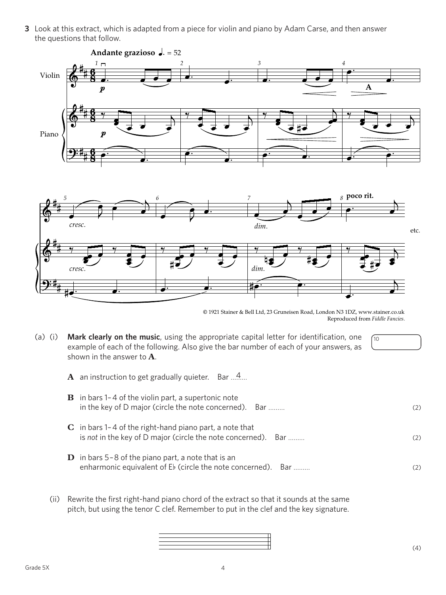**3** Look at this extract, which is adapted from a piece for violin and piano by Adam Carse, and then answer the questions that follow.



© 1921 Stainer & Bell Ltd, 23 Gruneisen Road, London N3 1DZ, www.stainer.co.uk Reproduced from *Fiddle Fancies.*

(a) (i) **Mark clearly on the music**, using the appropriate capital letter for identification, one example of each of the following. Also give the bar number of each of your answers, as shown in the answer to **A**.

10

 $\bf{A}$  an instruction to get gradually quieter. Bar ... $4...$ 

| <b>B</b> in bars 1-4 of the violin part, a supertonic note<br>in the key of D major (circle the note concerned). Bar           | (2) |
|--------------------------------------------------------------------------------------------------------------------------------|-----|
| $C$ in bars 1-4 of the right-hand piano part, a note that<br>is not in the key of D major (circle the note concerned). Bar     | (2) |
| <b>D</b> in bars $5-8$ of the piano part, a note that is an<br>enharmonic equivalent of Eb (circle the note concerned).<br>Bar | (2) |

 (ii) Rewrite the first right-hand piano chord of the extract so that it sounds at the same pitch, but using the tenor C clef. Remember to put in the clef and the key signature.

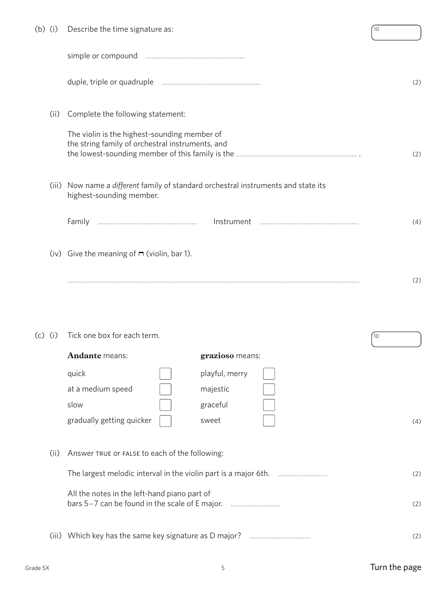| $(b)$ (i) |       | Describe the time signature as:                                                                          | 10              |
|-----------|-------|----------------------------------------------------------------------------------------------------------|-----------------|
|           |       |                                                                                                          |                 |
|           |       |                                                                                                          | (2)             |
|           | (ii)  | Complete the following statement:                                                                        |                 |
|           |       | The violin is the highest-sounding member of<br>the string family of orchestral instruments, and         | (2)             |
|           | (iii) | Now name a different family of standard orchestral instruments and state its<br>highest-sounding member. |                 |
|           |       | Family                                                                                                   | (4)             |
|           |       | (iv) Give the meaning of $\blacksquare$ (violin, bar 1).                                                 |                 |
|           |       |                                                                                                          | (2)             |
| (c)       | (i)   | Tick one box for each term.                                                                              | 10 <sup>°</sup> |
|           |       | <b>Andante</b> means:<br>grazioso means:                                                                 |                 |
|           |       | playful, merry<br>quick                                                                                  |                 |
|           |       | at a medium speed<br>majestic                                                                            |                 |
|           |       | slow<br>graceful                                                                                         |                 |
|           |       | gradually getting quicker<br>sweet                                                                       | (4)             |
|           | (ii)  | Answer TRUE Or FALSE to each of the following:                                                           |                 |
|           |       |                                                                                                          | (2)             |
|           |       | All the notes in the left-hand piano part of<br>bars 5-7 can be found in the scale of E major.           | (2)             |
|           |       |                                                                                                          | (2)             |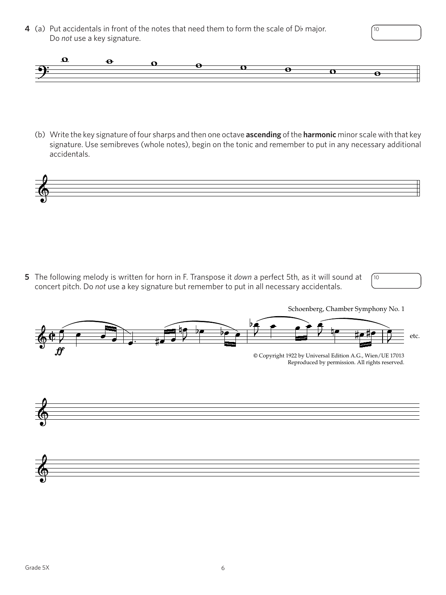**4** (a) Put accidentals in front of the notes that need them to form the scale of Db major. Do *not* use a key signature.



(b) Write the key signature of four sharps and then one octave **ascending** of the **harmonic** minor scale with that key signature. Use semibreves (whole notes), begin on the tonic and remember to put in any necessary additional accidentals.



**5** The following melody is written for horn in F. Transpose it *down* a perfect 5th, as it will sound at concert pitch. Do *not* use a key signature but remember to put in all necessary accidentals.





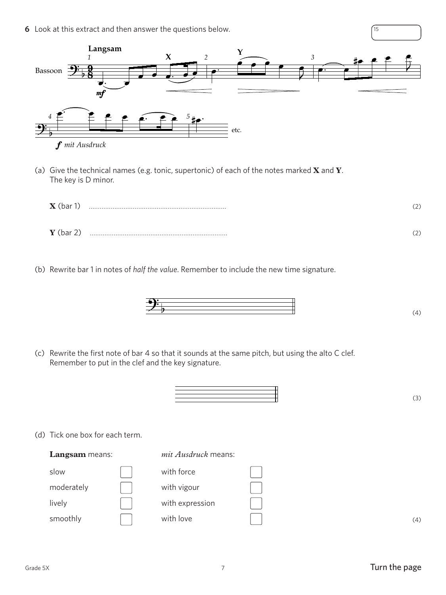**6** Look at this extract and then answer the questions below. 15



(a) Give the technical names (e.g. tonic, supertonic) of each of the notes marked **X** and **Y**. The key is D minor.

| $\mathbf X$ (bar 1) | Λ<br><u>_</u> |
|---------------------|---------------|
| $Y$ (bar 2)         | Λ             |

(b) Rewrite bar 1 in notes of *half the value*. Remember to include the new time signature.



(c) Rewrite the first note of bar 4 so that it sounds at the same pitch, but using the alto C clef. Remember to put in the clef and the key signature.

 $\begin{array}{|c|c|c|c|c|}\hline \multicolumn{1}{|c|}{\textbf{1}} & \multicolumn{1}{|c|}{\textbf{2}} & \multicolumn{1}{|c|}{\textbf{3}} \\ \hline \multicolumn{1}{|c|}{\textbf{4}} & \multicolumn{1}{|c|}{\textbf{5}} & \multicolumn{1}{|c|}{\textbf{6}} & \multicolumn{1}{|c|}{\textbf{5}} & \multicolumn{1}{|c|}{\textbf{6}} & \multicolumn{1}{|c|}{\textbf{6}} \\ \hline \multicolumn{1}{|c|}{\textbf{5}} & \multicolumn{1}{|c|}{\textbf{$ 

7

(d) Tick one box for each term.

slow and  $\vert \ \vert$  with force moderately with vigour lively with expression